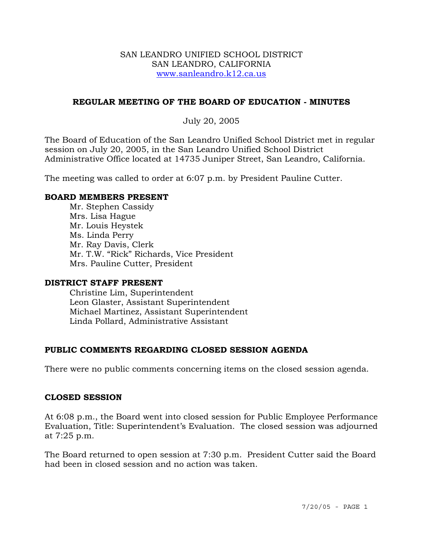### SAN LEANDRO UNIFIED SCHOOL DISTRICT SAN LEANDRO, CALIFORNIA www.sanleandro.k12.ca.us

### **REGULAR MEETING OF THE BOARD OF EDUCATION - MINUTES**

### July 20, 2005

The Board of Education of the San Leandro Unified School District met in regular session on July 20, 2005, in the San Leandro Unified School District Administrative Office located at 14735 Juniper Street, San Leandro, California.

The meeting was called to order at 6:07 p.m. by President Pauline Cutter.

#### **BOARD MEMBERS PRESENT**

Mr. Stephen Cassidy Mrs. Lisa Hague Mr. Louis Heystek Ms. Linda Perry Mr. Ray Davis, Clerk Mr. T.W. "Rick" Richards, Vice President Mrs. Pauline Cutter, President

#### **DISTRICT STAFF PRESENT**

Christine Lim, Superintendent Leon Glaster, Assistant Superintendent Michael Martinez, Assistant Superintendent Linda Pollard, Administrative Assistant

### **PUBLIC COMMENTS REGARDING CLOSED SESSION AGENDA**

There were no public comments concerning items on the closed session agenda.

#### **CLOSED SESSION**

At 6:08 p.m., the Board went into closed session for Public Employee Performance Evaluation, Title: Superintendent's Evaluation. The closed session was adjourned at 7:25 p.m.

The Board returned to open session at 7:30 p.m. President Cutter said the Board had been in closed session and no action was taken.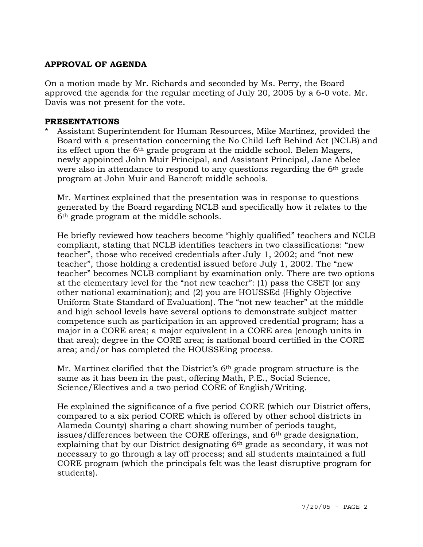## **APPROVAL OF AGENDA**

On a motion made by Mr. Richards and seconded by Ms. Perry, the Board approved the agenda for the regular meeting of July 20, 2005 by a 6-0 vote. Mr. Davis was not present for the vote.

### **PRESENTATIONS**

Assistant Superintendent for Human Resources, Mike Martinez, provided the Board with a presentation concerning the No Child Left Behind Act (NCLB) and its effect upon the 6th grade program at the middle school. Belen Magers, newly appointed John Muir Principal, and Assistant Principal, Jane Abelee were also in attendance to respond to any questions regarding the  $6<sup>th</sup>$  grade program at John Muir and Bancroft middle schools.

Mr. Martinez explained that the presentation was in response to questions generated by the Board regarding NCLB and specifically how it relates to the 6th grade program at the middle schools.

He briefly reviewed how teachers become "highly qualified" teachers and NCLB compliant, stating that NCLB identifies teachers in two classifications: "new teacher", those who received credentials after July 1, 2002; and "not new teacher", those holding a credential issued before July 1, 2002. The "new teacher" becomes NCLB compliant by examination only. There are two options at the elementary level for the "not new teacher": (1) pass the CSET (or any other national examination); and (2) you are HOUSSEd (Highly Objective Uniform State Standard of Evaluation). The "not new teacher" at the middle and high school levels have several options to demonstrate subject matter competence such as participation in an approved credential program; has a major in a CORE area; a major equivalent in a CORE area (enough units in that area); degree in the CORE area; is national board certified in the CORE area; and/or has completed the HOUSSEing process.

Mr. Martinez clarified that the District's 6th grade program structure is the same as it has been in the past, offering Math, P.E., Social Science, Science/Electives and a two period CORE of English/Writing.

He explained the significance of a five period CORE (which our District offers, compared to a six period CORE which is offered by other school districts in Alameda County) sharing a chart showing number of periods taught, issues/differences between the CORE offerings, and  $6<sup>th</sup>$  grade designation, explaining that by our District designating 6th grade as secondary, it was not necessary to go through a lay off process; and all students maintained a full CORE program (which the principals felt was the least disruptive program for students).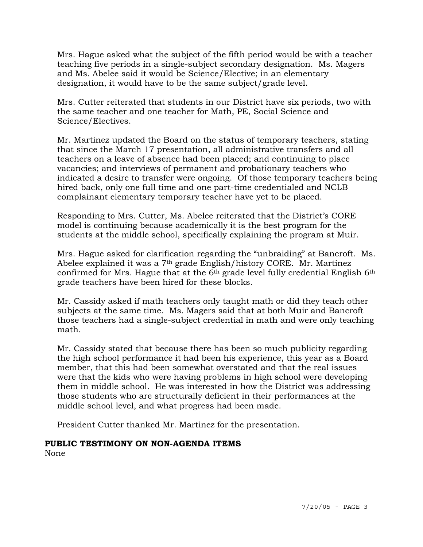Mrs. Hague asked what the subject of the fifth period would be with a teacher teaching five periods in a single-subject secondary designation. Ms. Magers and Ms. Abelee said it would be Science/Elective; in an elementary designation, it would have to be the same subject/grade level.

Mrs. Cutter reiterated that students in our District have six periods, two with the same teacher and one teacher for Math, PE, Social Science and Science/Electives.

Mr. Martinez updated the Board on the status of temporary teachers, stating that since the March 17 presentation, all administrative transfers and all teachers on a leave of absence had been placed; and continuing to place vacancies; and interviews of permanent and probationary teachers who indicated a desire to transfer were ongoing. Of those temporary teachers being hired back, only one full time and one part-time credentialed and NCLB complainant elementary temporary teacher have yet to be placed.

Responding to Mrs. Cutter, Ms. Abelee reiterated that the District's CORE model is continuing because academically it is the best program for the students at the middle school, specifically explaining the program at Muir.

Mrs. Hague asked for clarification regarding the "unbraiding" at Bancroft. Ms. Abelee explained it was a 7th grade English/history CORE. Mr. Martinez confirmed for Mrs. Hague that at the 6<sup>th</sup> grade level fully credential English 6<sup>th</sup> grade teachers have been hired for these blocks.

Mr. Cassidy asked if math teachers only taught math or did they teach other subjects at the same time. Ms. Magers said that at both Muir and Bancroft those teachers had a single-subject credential in math and were only teaching math.

Mr. Cassidy stated that because there has been so much publicity regarding the high school performance it had been his experience, this year as a Board member, that this had been somewhat overstated and that the real issues were that the kids who were having problems in high school were developing them in middle school. He was interested in how the District was addressing those students who are structurally deficient in their performances at the middle school level, and what progress had been made.

President Cutter thanked Mr. Martinez for the presentation.

# **PUBLIC TESTIMONY ON NON-AGENDA ITEMS**

None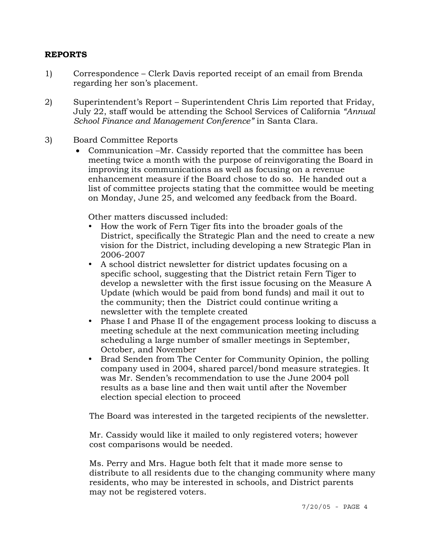### **REPORTS**

- 1) Correspondence Clerk Davis reported receipt of an email from Brenda regarding her son's placement.
- 2) Superintendent's Report Superintendent Chris Lim reported that Friday, July 22, staff would be attending the School Services of California *"Annual School Finance and Management Conference"* in Santa Clara.
- 3) Board Committee Reports
	- Communication –Mr. Cassidy reported that the committee has been meeting twice a month with the purpose of reinvigorating the Board in improving its communications as well as focusing on a revenue enhancement measure if the Board chose to do so. He handed out a list of committee projects stating that the committee would be meeting on Monday, June 25, and welcomed any feedback from the Board.

Other matters discussed included:

- How the work of Fern Tiger fits into the broader goals of the District, specifically the Strategic Plan and the need to create a new vision for the District, including developing a new Strategic Plan in 2006-2007
- A school district newsletter for district updates focusing on a specific school, suggesting that the District retain Fern Tiger to develop a newsletter with the first issue focusing on the Measure A Update (which would be paid from bond funds) and mail it out to the community; then the District could continue writing a newsletter with the templete created
- Phase I and Phase II of the engagement process looking to discuss a meeting schedule at the next communication meeting including scheduling a large number of smaller meetings in September, October, and November
- Brad Senden from The Center for Community Opinion, the polling company used in 2004, shared parcel/bond measure strategies. It was Mr. Senden's recommendation to use the June 2004 poll results as a base line and then wait until after the November election special election to proceed

The Board was interested in the targeted recipients of the newsletter.

 Mr. Cassidy would like it mailed to only registered voters; however cost comparisons would be needed.

 Ms. Perry and Mrs. Hague both felt that it made more sense to distribute to all residents due to the changing community where many residents, who may be interested in schools, and District parents may not be registered voters.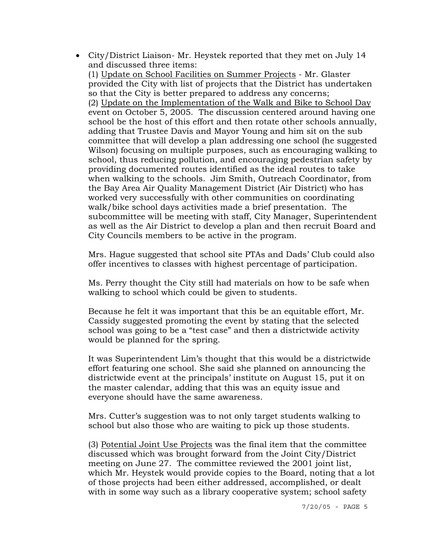• City/District Liaison- Mr. Heystek reported that they met on July 14 and discussed three items: (1) Update on School Facilities on Summer Projects - Mr. Glaster provided the City with list of projects that the District has undertaken so that the City is better prepared to address any concerns; (2) Update on the Implementation of the Walk and Bike to School Day event on October 5, 2005. The discussion centered around having one school be the host of this effort and then rotate other schools annually, adding that Trustee Davis and Mayor Young and him sit on the sub committee that will develop a plan addressing one school (he suggested Wilson) focusing on multiple purposes, such as encouraging walking to school, thus reducing pollution, and encouraging pedestrian safety by providing documented routes identified as the ideal routes to take when walking to the schools. Jim Smith, Outreach Coordinator, from the Bay Area Air Quality Management District (Air District) who has worked very successfully with other communities on coordinating walk/bike school days activities made a brief presentation. The subcommittee will be meeting with staff, City Manager, Superintendent as well as the Air District to develop a plan and then recruit Board and City Councils members to be active in the program.

Mrs. Hague suggested that school site PTAs and Dads' Club could also offer incentives to classes with highest percentage of participation.

Ms. Perry thought the City still had materials on how to be safe when walking to school which could be given to students.

Because he felt it was important that this be an equitable effort, Mr. Cassidy suggested promoting the event by stating that the selected school was going to be a "test case" and then a districtwide activity would be planned for the spring.

It was Superintendent Lim's thought that this would be a districtwide effort featuring one school. She said she planned on announcing the districtwide event at the principals' institute on August 15, put it on the master calendar, adding that this was an equity issue and everyone should have the same awareness.

Mrs. Cutter's suggestion was to not only target students walking to school but also those who are waiting to pick up those students.

(3) Potential Joint Use Projects was the final item that the committee discussed which was brought forward from the Joint City/District meeting on June 27. The committee reviewed the 2001 joint list, which Mr. Heystek would provide copies to the Board, noting that a lot of those projects had been either addressed, accomplished, or dealt with in some way such as a library cooperative system; school safety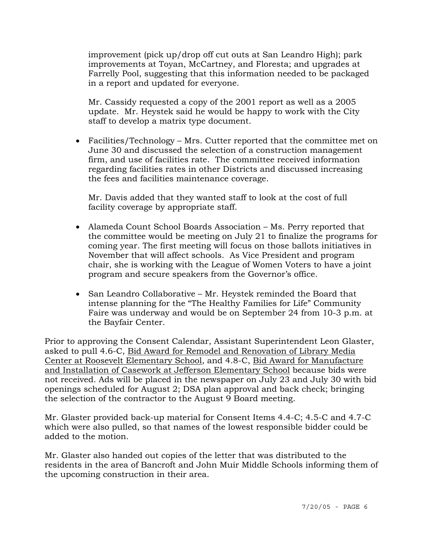improvement (pick up/drop off cut outs at San Leandro High); park improvements at Toyan, McCartney, and Floresta; and upgrades at Farrelly Pool, suggesting that this information needed to be packaged in a report and updated for everyone.

Mr. Cassidy requested a copy of the 2001 report as well as a 2005 update. Mr. Heystek said he would be happy to work with the City staff to develop a matrix type document.

• Facilities/Technology – Mrs. Cutter reported that the committee met on June 30 and discussed the selection of a construction management firm, and use of facilities rate. The committee received information regarding facilities rates in other Districts and discussed increasing the fees and facilities maintenance coverage.

 Mr. Davis added that they wanted staff to look at the cost of full facility coverage by appropriate staff.

- Alameda Count School Boards Association Ms. Perry reported that the committee would be meeting on July 21 to finalize the programs for coming year. The first meeting will focus on those ballots initiatives in November that will affect schools. As Vice President and program chair, she is working with the League of Women Voters to have a joint program and secure speakers from the Governor's office.
- San Leandro Collaborative Mr. Heystek reminded the Board that intense planning for the "The Healthy Families for Life" Community Faire was underway and would be on September 24 from 10-3 p.m. at the Bayfair Center.

Prior to approving the Consent Calendar, Assistant Superintendent Leon Glaster, asked to pull 4.6-C, Bid Award for Remodel and Renovation of Library Media Center at Roosevelt Elementary School, and 4.8-C, Bid Award for Manufacture and Installation of Casework at Jefferson Elementary School because bids were not received. Ads will be placed in the newspaper on July 23 and July 30 with bid openings scheduled for August 2; DSA plan approval and back check; bringing the selection of the contractor to the August 9 Board meeting.

Mr. Glaster provided back-up material for Consent Items 4.4-C; 4.5-C and 4.7-C which were also pulled, so that names of the lowest responsible bidder could be added to the motion.

Mr. Glaster also handed out copies of the letter that was distributed to the residents in the area of Bancroft and John Muir Middle Schools informing them of the upcoming construction in their area.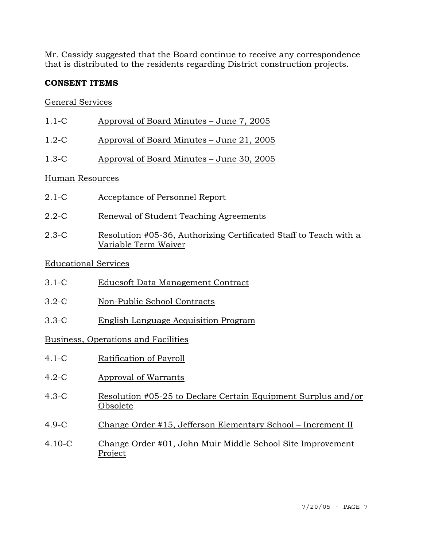Mr. Cassidy suggested that the Board continue to receive any correspondence that is distributed to the residents regarding District construction projects.

## **CONSENT ITEMS**

## General Services

| $1.1 - C$ | Approval of Board Minutes – June 7, 2005 |
|-----------|------------------------------------------|
|           |                                          |
|           |                                          |

- 1.2-C Approval of Board Minutes June 21, 2005
- 1.3-C Approval of Board Minutes June 30, 2005

## Human Resources

- 2.1-C Acceptance of Personnel Report
- 2.2-C Renewal of Student Teaching Agreements
- 2.3-C Resolution #05-36, Authorizing Certificated Staff to Teach with a Variable Term Waiver

## Educational Services

- 3.1-C Educsoft Data Management Contract
- 3.2-C Non-Public School Contracts
- 3.3-C English Language Acquisition Program

## Business, Operations and Facilities

- 4.1-C Ratification of Payroll
- 4.2-C Approval of Warrants
- 4.3-C Resolution #05-25 to Declare Certain Equipment Surplus and/or Obsolete
- 4.9-C Change Order #15, Jefferson Elementary School Increment II
- 4.10-C Change Order #01, John Muir Middle School Site Improvement Project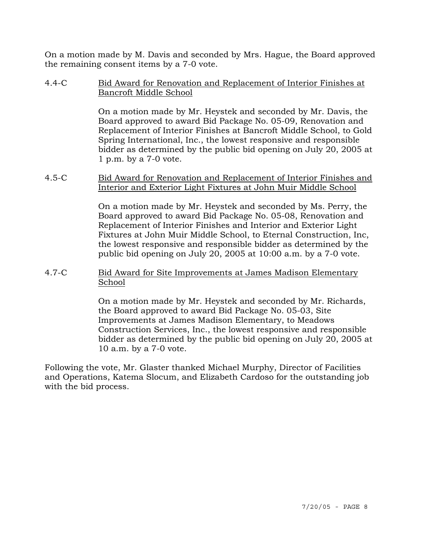On a motion made by M. Davis and seconded by Mrs. Hague, the Board approved the remaining consent items by a 7-0 vote.

### 4.4-C Bid Award for Renovation and Replacement of Interior Finishes at Bancroft Middle School

On a motion made by Mr. Heystek and seconded by Mr. Davis, the Board approved to award Bid Package No. 05-09, Renovation and Replacement of Interior Finishes at Bancroft Middle School, to Gold Spring International, Inc., the lowest responsive and responsible bidder as determined by the public bid opening on July 20, 2005 at 1 p.m. by a 7-0 vote.

### 4.5-C Bid Award for Renovation and Replacement of Interior Finishes and Interior and Exterior Light Fixtures at John Muir Middle School

On a motion made by Mr. Heystek and seconded by Ms. Perry, the Board approved to award Bid Package No. 05-08, Renovation and Replacement of Interior Finishes and Interior and Exterior Light Fixtures at John Muir Middle School, to Eternal Construction, Inc, the lowest responsive and responsible bidder as determined by the public bid opening on July 20, 2005 at 10:00 a.m. by a 7-0 vote.

### 4.7-C Bid Award for Site Improvements at James Madison Elementary School

On a motion made by Mr. Heystek and seconded by Mr. Richards, the Board approved to award Bid Package No. 05-03, Site Improvements at James Madison Elementary, to Meadows Construction Services, Inc., the lowest responsive and responsible bidder as determined by the public bid opening on July 20, 2005 at 10 a.m. by a 7-0 vote.

Following the vote, Mr. Glaster thanked Michael Murphy, Director of Facilities and Operations, Katema Slocum, and Elizabeth Cardoso for the outstanding job with the bid process.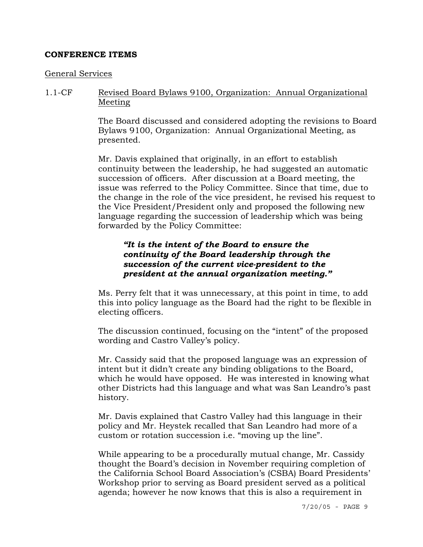### **CONFERENCE ITEMS**

#### General Services

1.1-CF Revised Board Bylaws 9100, Organization: Annual Organizational Meeting

> The Board discussed and considered adopting the revisions to Board Bylaws 9100, Organization: Annual Organizational Meeting, as presented.

> Mr. Davis explained that originally, in an effort to establish continuity between the leadership, he had suggested an automatic succession of officers. After discussion at a Board meeting, the issue was referred to the Policy Committee. Since that time, due to the change in the role of the vice president, he revised his request to the Vice President/President only and proposed the following new language regarding the succession of leadership which was being forwarded by the Policy Committee:

## *"It is the intent of the Board to ensure the continuity of the Board leadership through the succession of the current vice-president to the president at the annual organization meeting."*

Ms. Perry felt that it was unnecessary, at this point in time, to add this into policy language as the Board had the right to be flexible in electing officers.

The discussion continued, focusing on the "intent" of the proposed wording and Castro Valley's policy.

Mr. Cassidy said that the proposed language was an expression of intent but it didn't create any binding obligations to the Board, which he would have opposed. He was interested in knowing what other Districts had this language and what was San Leandro's past history.

Mr. Davis explained that Castro Valley had this language in their policy and Mr. Heystek recalled that San Leandro had more of a custom or rotation succession i.e. "moving up the line".

While appearing to be a procedurally mutual change, Mr. Cassidy thought the Board's decision in November requiring completion of the California School Board Association's (CSBA) Board Presidents' Workshop prior to serving as Board president served as a political agenda; however he now knows that this is also a requirement in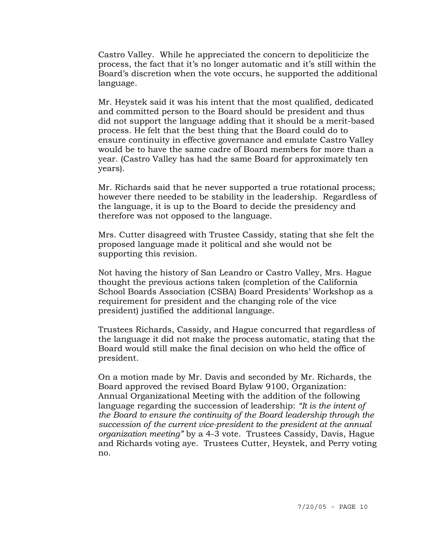Castro Valley. While he appreciated the concern to depoliticize the process, the fact that it's no longer automatic and it's still within the Board's discretion when the vote occurs, he supported the additional language.

Mr. Heystek said it was his intent that the most qualified, dedicated and committed person to the Board should be president and thus did not support the language adding that it should be a merit-based process. He felt that the best thing that the Board could do to ensure continuity in effective governance and emulate Castro Valley would be to have the same cadre of Board members for more than a year. (Castro Valley has had the same Board for approximately ten years).

Mr. Richards said that he never supported a true rotational process; however there needed to be stability in the leadership. Regardless of the language, it is up to the Board to decide the presidency and therefore was not opposed to the language.

Mrs. Cutter disagreed with Trustee Cassidy, stating that she felt the proposed language made it political and she would not be supporting this revision.

Not having the history of San Leandro or Castro Valley, Mrs. Hague thought the previous actions taken (completion of the California School Boards Association (CSBA) Board Presidents' Workshop as a requirement for president and the changing role of the vice president) justified the additional language.

Trustees Richards, Cassidy, and Hague concurred that regardless of the language it did not make the process automatic, stating that the Board would still make the final decision on who held the office of president.

On a motion made by Mr. Davis and seconded by Mr. Richards, the Board approved the revised Board Bylaw 9100, Organization: Annual Organizational Meeting with the addition of the following language regarding the succession of leadership: *"It is the intent of the Board to ensure the continuity of the Board leadership through the succession of the current vice-president to the president at the annual organization meeting"* by a 4-3 vote. Trustees Cassidy, Davis, Hague and Richards voting aye. Trustees Cutter, Heystek, and Perry voting no.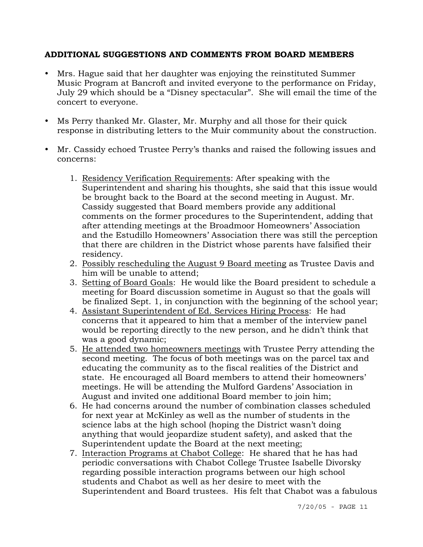## **ADDITIONAL SUGGESTIONS AND COMMENTS FROM BOARD MEMBERS**

- Mrs. Hague said that her daughter was enjoying the reinstituted Summer Music Program at Bancroft and invited everyone to the performance on Friday, July 29 which should be a "Disney spectacular". She will email the time of the concert to everyone.
- Ms Perry thanked Mr. Glaster, Mr. Murphy and all those for their quick response in distributing letters to the Muir community about the construction.
- y Mr. Cassidy echoed Trustee Perry's thanks and raised the following issues and concerns:
	- 1. Residency Verification Requirements: After speaking with the Superintendent and sharing his thoughts, she said that this issue would be brought back to the Board at the second meeting in August. Mr. Cassidy suggested that Board members provide any additional comments on the former procedures to the Superintendent, adding that after attending meetings at the Broadmoor Homeowners' Association and the Estudillo Homeowners' Association there was still the perception that there are children in the District whose parents have falsified their residency.
	- 2. Possibly rescheduling the August 9 Board meeting as Trustee Davis and him will be unable to attend;
	- 3. Setting of Board Goals: He would like the Board president to schedule a meeting for Board discussion sometime in August so that the goals will be finalized Sept. 1, in conjunction with the beginning of the school year;
	- 4. Assistant Superintendent of Ed. Services Hiring Process: He had concerns that it appeared to him that a member of the interview panel would be reporting directly to the new person, and he didn't think that was a good dynamic;
	- 5. He attended two homeowners meetings with Trustee Perry attending the second meeting. The focus of both meetings was on the parcel tax and educating the community as to the fiscal realities of the District and state. He encouraged all Board members to attend their homeowners' meetings. He will be attending the Mulford Gardens' Association in August and invited one additional Board member to join him;
	- 6. He had concerns around the number of combination classes scheduled for next year at McKinley as well as the number of students in the science labs at the high school (hoping the District wasn't doing anything that would jeopardize student safety), and asked that the Superintendent update the Board at the next meeting;
	- 7. Interaction Programs at Chabot College: He shared that he has had periodic conversations with Chabot College Trustee Isabelle Divorsky regarding possible interaction programs between our high school students and Chabot as well as her desire to meet with the Superintendent and Board trustees. His felt that Chabot was a fabulous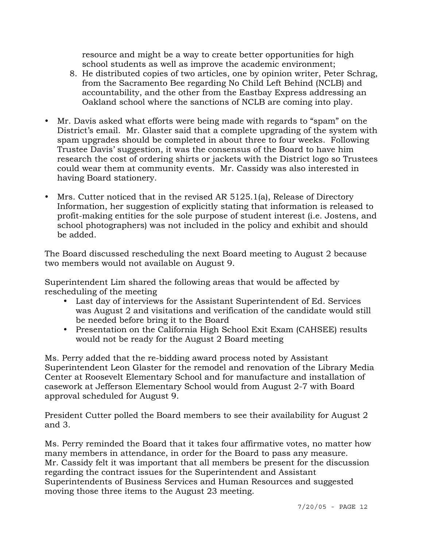resource and might be a way to create better opportunities for high school students as well as improve the academic environment;

- 8. He distributed copies of two articles, one by opinion writer, Peter Schrag, from the Sacramento Bee regarding No Child Left Behind (NCLB) and accountability, and the other from the Eastbay Express addressing an Oakland school where the sanctions of NCLB are coming into play.
- Mr. Davis asked what efforts were being made with regards to "spam" on the District's email. Mr. Glaster said that a complete upgrading of the system with spam upgrades should be completed in about three to four weeks. Following Trustee Davis' suggestion, it was the consensus of the Board to have him research the cost of ordering shirts or jackets with the District logo so Trustees could wear them at community events. Mr. Cassidy was also interested in having Board stationery.
- Mrs. Cutter noticed that in the revised AR  $5125.1(a)$ , Release of Directory Information, her suggestion of explicitly stating that information is released to profit-making entities for the sole purpose of student interest (i.e. Jostens, and school photographers) was not included in the policy and exhibit and should be added.

The Board discussed rescheduling the next Board meeting to August 2 because two members would not available on August 9.

Superintendent Lim shared the following areas that would be affected by rescheduling of the meeting

- Last day of interviews for the Assistant Superintendent of Ed. Services was August 2 and visitations and verification of the candidate would still be needed before bring it to the Board
- Presentation on the California High School Exit Exam (CAHSEE) results would not be ready for the August 2 Board meeting

Ms. Perry added that the re-bidding award process noted by Assistant Superintendent Leon Glaster for the remodel and renovation of the Library Media Center at Roosevelt Elementary School and for manufacture and installation of casework at Jefferson Elementary School would from August 2-7 with Board approval scheduled for August 9.

President Cutter polled the Board members to see their availability for August 2 and 3.

Ms. Perry reminded the Board that it takes four affirmative votes, no matter how many members in attendance, in order for the Board to pass any measure. Mr. Cassidy felt it was important that all members be present for the discussion regarding the contract issues for the Superintendent and Assistant Superintendents of Business Services and Human Resources and suggested moving those three items to the August 23 meeting.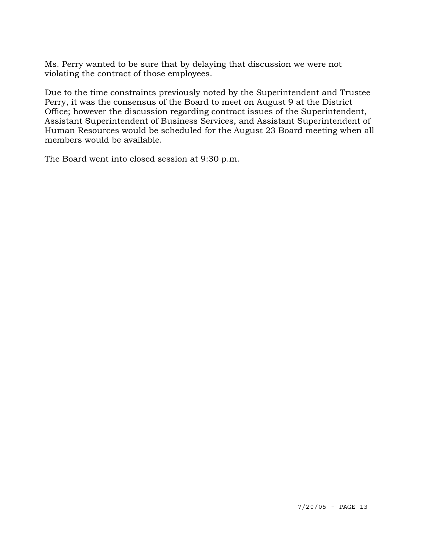Ms. Perry wanted to be sure that by delaying that discussion we were not violating the contract of those employees.

Due to the time constraints previously noted by the Superintendent and Trustee Perry, it was the consensus of the Board to meet on August 9 at the District Office; however the discussion regarding contract issues of the Superintendent, Assistant Superintendent of Business Services, and Assistant Superintendent of Human Resources would be scheduled for the August 23 Board meeting when all members would be available.

The Board went into closed session at 9:30 p.m.